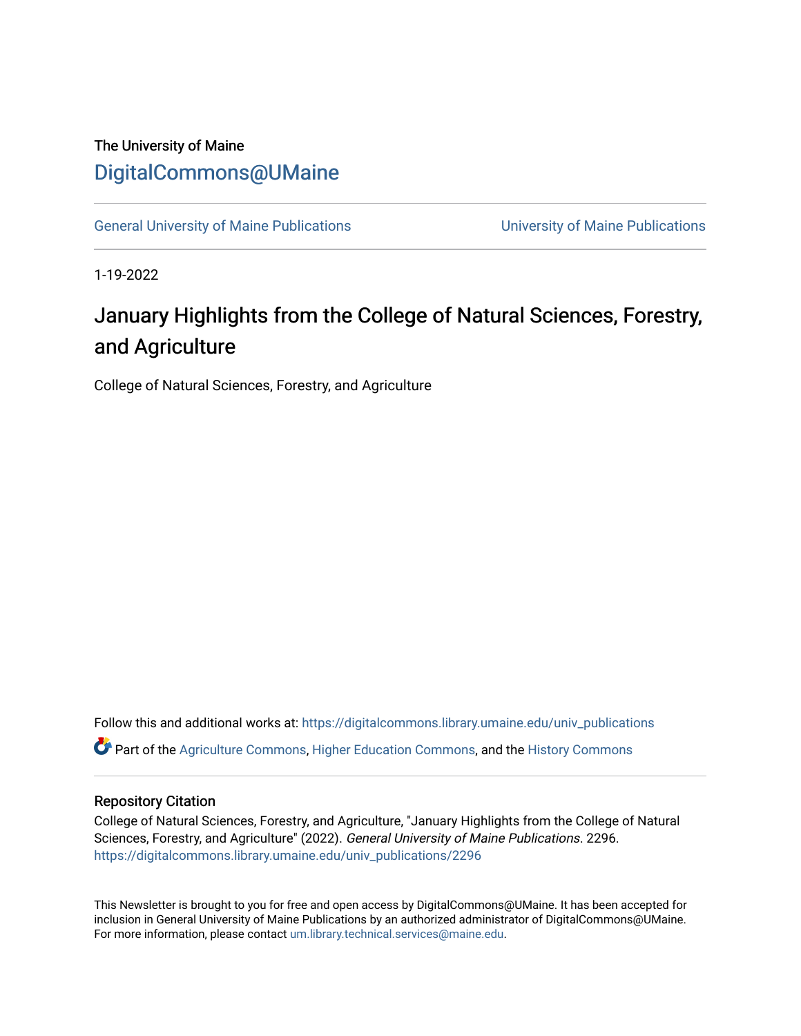# The University of Maine [DigitalCommons@UMaine](https://digitalcommons.library.umaine.edu/)

[General University of Maine Publications](https://digitalcommons.library.umaine.edu/univ_publications) [University of Maine Publications](https://digitalcommons.library.umaine.edu/umaine_publications) 

1-19-2022

# January Highlights from the College of Natural Sciences, Forestry, and Agriculture

College of Natural Sciences, Forestry, and Agriculture

Follow this and additional works at: [https://digitalcommons.library.umaine.edu/univ\\_publications](https://digitalcommons.library.umaine.edu/univ_publications?utm_source=digitalcommons.library.umaine.edu%2Funiv_publications%2F2296&utm_medium=PDF&utm_campaign=PDFCoverPages)  Part of the [Agriculture Commons](https://network.bepress.com/hgg/discipline/1076?utm_source=digitalcommons.library.umaine.edu%2Funiv_publications%2F2296&utm_medium=PDF&utm_campaign=PDFCoverPages), [Higher Education Commons,](https://network.bepress.com/hgg/discipline/1245?utm_source=digitalcommons.library.umaine.edu%2Funiv_publications%2F2296&utm_medium=PDF&utm_campaign=PDFCoverPages) and the [History Commons](https://network.bepress.com/hgg/discipline/489?utm_source=digitalcommons.library.umaine.edu%2Funiv_publications%2F2296&utm_medium=PDF&utm_campaign=PDFCoverPages) 

## Repository Citation

College of Natural Sciences, Forestry, and Agriculture, "January Highlights from the College of Natural Sciences, Forestry, and Agriculture" (2022). General University of Maine Publications. 2296. [https://digitalcommons.library.umaine.edu/univ\\_publications/2296](https://digitalcommons.library.umaine.edu/univ_publications/2296?utm_source=digitalcommons.library.umaine.edu%2Funiv_publications%2F2296&utm_medium=PDF&utm_campaign=PDFCoverPages)

This Newsletter is brought to you for free and open access by DigitalCommons@UMaine. It has been accepted for inclusion in General University of Maine Publications by an authorized administrator of DigitalCommons@UMaine. For more information, please contact [um.library.technical.services@maine.edu](mailto:um.library.technical.services@maine.edu).